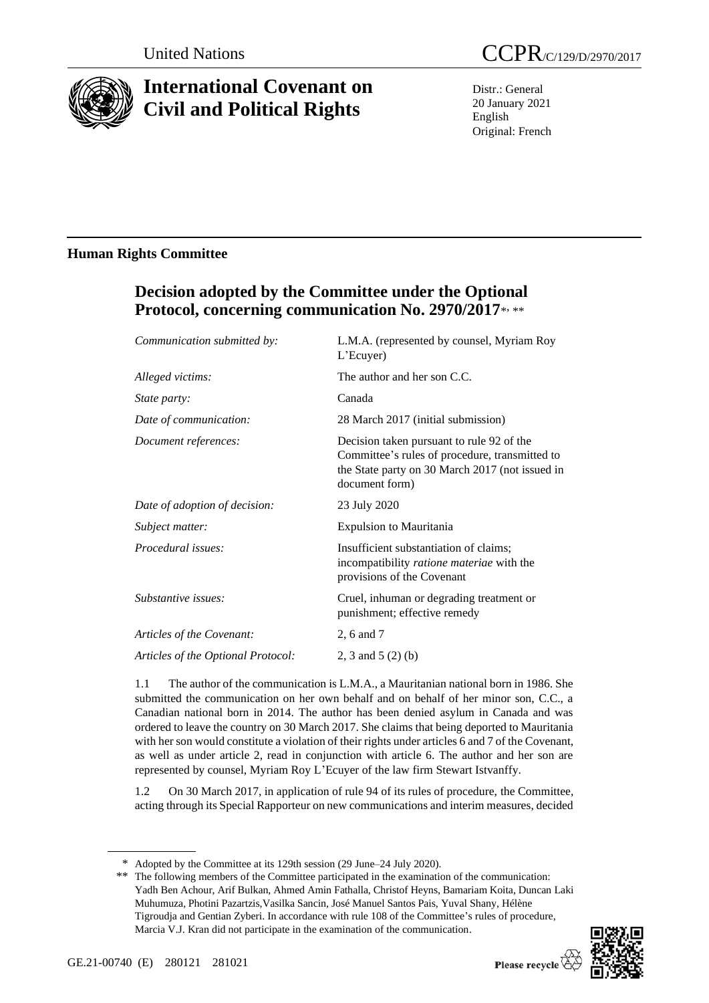

# **International Covenant on Civil and Political Rights**

Distr.: General 20 January 2021 English Original: French

# **Human Rights Committee**

# **Decision adopted by the Committee under the Optional Protocol, concerning communication No. 2970/2017**\* , \*\*

| Communication submitted by:        | L.M.A. (represented by counsel, Myriam Roy<br>L'Ecuyer)                                                                                                          |
|------------------------------------|------------------------------------------------------------------------------------------------------------------------------------------------------------------|
| Alleged victims:                   | The author and her son C.C.                                                                                                                                      |
| <i>State party:</i>                | Canada                                                                                                                                                           |
| Date of communication:             | 28 March 2017 (initial submission)                                                                                                                               |
| Document references:               | Decision taken pursuant to rule 92 of the<br>Committee's rules of procedure, transmitted to<br>the State party on 30 March 2017 (not issued in<br>document form) |
| Date of adoption of decision:      | 23 July 2020                                                                                                                                                     |
| Subject matter:                    | <b>Expulsion to Mauritania</b>                                                                                                                                   |
| Procedural issues:                 | Insufficient substantiation of claims;<br>incompatibility ratione materiae with the<br>provisions of the Covenant                                                |
| Substantive issues:                | Cruel, inhuman or degrading treatment or<br>punishment; effective remedy                                                                                         |
| Articles of the Covenant:          | 2, 6 and 7                                                                                                                                                       |
| Articles of the Optional Protocol: | 2, 3 and 5 $(2)$ (b)                                                                                                                                             |

1.1 The author of the communication is L.M.A., a Mauritanian national born in 1986. She submitted the communication on her own behalf and on behalf of her minor son, C.C., a Canadian national born in 2014. The author has been denied asylum in Canada and was ordered to leave the country on 30 March 2017. She claims that being deported to Mauritania with her son would constitute a violation of their rights under articles 6 and 7 of the Covenant, as well as under article 2, read in conjunction with article 6. The author and her son are represented by counsel, Myriam Roy L'Ecuyer of the law firm Stewart Istvanffy.

1.2 On 30 March 2017, in application of rule 94 of its rules of procedure, the Committee, acting through its Special Rapporteur on new communications and interim measures, decided

<sup>\*\*</sup> The following members of the Committee participated in the examination of the communication: Yadh Ben Achour, Arif Bulkan, Ahmed Amin Fathalla, Christof Heyns, Bamariam Koita, Duncan Laki Muhumuza, Photini Pazartzis,Vasilka Sancin, José Manuel Santos Pais, Yuval Shany, Hélène Tigroudja and Gentian Zyberi. In accordance with rule 108 of the Committee's rules of procedure, Marcia V.J. Kran did not participate in the examination of the communication.



<sup>\*</sup> Adopted by the Committee at its 129th session (29 June–24 July 2020).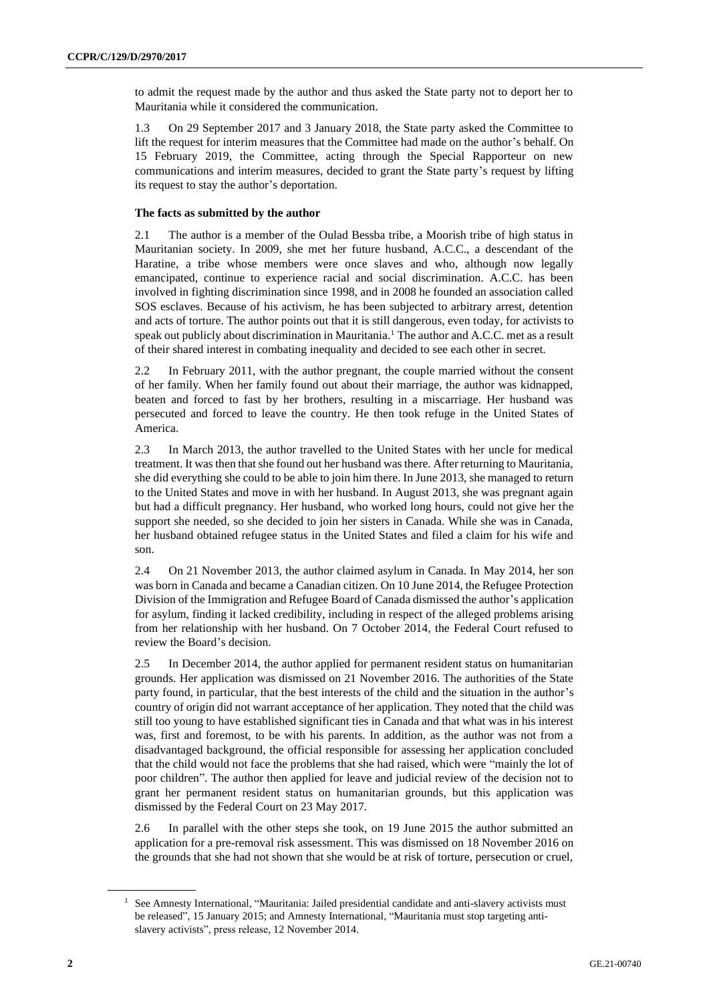to admit the request made by the author and thus asked the State party not to deport her to Mauritania while it considered the communication.

1.3 On 29 September 2017 and 3 January 2018, the State party asked the Committee to lift the request for interim measures that the Committee had made on the author's behalf. On 15 February 2019, the Committee, acting through the Special Rapporteur on new communications and interim measures, decided to grant the State party's request by lifting its request to stay the author's deportation.

## **The facts as submitted by the author**

2.1 The author is a member of the Oulad Bessba tribe, a Moorish tribe of high status in Mauritanian society. In 2009, she met her future husband, A.C.C., a descendant of the Haratine, a tribe whose members were once slaves and who, although now legally emancipated, continue to experience racial and social discrimination. A.C.C. has been involved in fighting discrimination since 1998, and in 2008 he founded an association called SOS esclaves. Because of his activism, he has been subjected to arbitrary arrest, detention and acts of torture. The author points out that it is still dangerous, even today, for activists to speak out publicly about discrimination in Mauritania.<sup>1</sup> The author and A.C.C. met as a result of their shared interest in combating inequality and decided to see each other in secret.

2.2 In February 2011, with the author pregnant, the couple married without the consent of her family. When her family found out about their marriage, the author was kidnapped, beaten and forced to fast by her brothers, resulting in a miscarriage. Her husband was persecuted and forced to leave the country. He then took refuge in the United States of America.

2.3 In March 2013, the author travelled to the United States with her uncle for medical treatment. It was then that she found out her husband was there. After returning to Mauritania, she did everything she could to be able to join him there. In June 2013, she managed to return to the United States and move in with her husband. In August 2013, she was pregnant again but had a difficult pregnancy. Her husband, who worked long hours, could not give her the support she needed, so she decided to join her sisters in Canada. While she was in Canada, her husband obtained refugee status in the United States and filed a claim for his wife and son.

2.4 On 21 November 2013, the author claimed asylum in Canada. In May 2014, her son was born in Canada and became a Canadian citizen. On 10 June 2014, the Refugee Protection Division of the Immigration and Refugee Board of Canada dismissed the author's application for asylum, finding it lacked credibility, including in respect of the alleged problems arising from her relationship with her husband. On 7 October 2014, the Federal Court refused to review the Board's decision.

2.5 In December 2014, the author applied for permanent resident status on humanitarian grounds. Her application was dismissed on 21 November 2016. The authorities of the State party found, in particular, that the best interests of the child and the situation in the author's country of origin did not warrant acceptance of her application. They noted that the child was still too young to have established significant ties in Canada and that what was in his interest was, first and foremost, to be with his parents. In addition, as the author was not from a disadvantaged background, the official responsible for assessing her application concluded that the child would not face the problems that she had raised, which were "mainly the lot of poor children". The author then applied for leave and judicial review of the decision not to grant her permanent resident status on humanitarian grounds, but this application was dismissed by the Federal Court on 23 May 2017.

2.6 In parallel with the other steps she took, on 19 June 2015 the author submitted an application for a pre-removal risk assessment. This was dismissed on 18 November 2016 on the grounds that she had not shown that she would be at risk of torture, persecution or cruel,

<sup>&</sup>lt;sup>1</sup> See Amnesty International, "Mauritania: Jailed presidential candidate and anti-slavery activists must be released", 15 January 2015; and Amnesty International, "Mauritania must stop targeting antislavery activists", press release, 12 November 2014.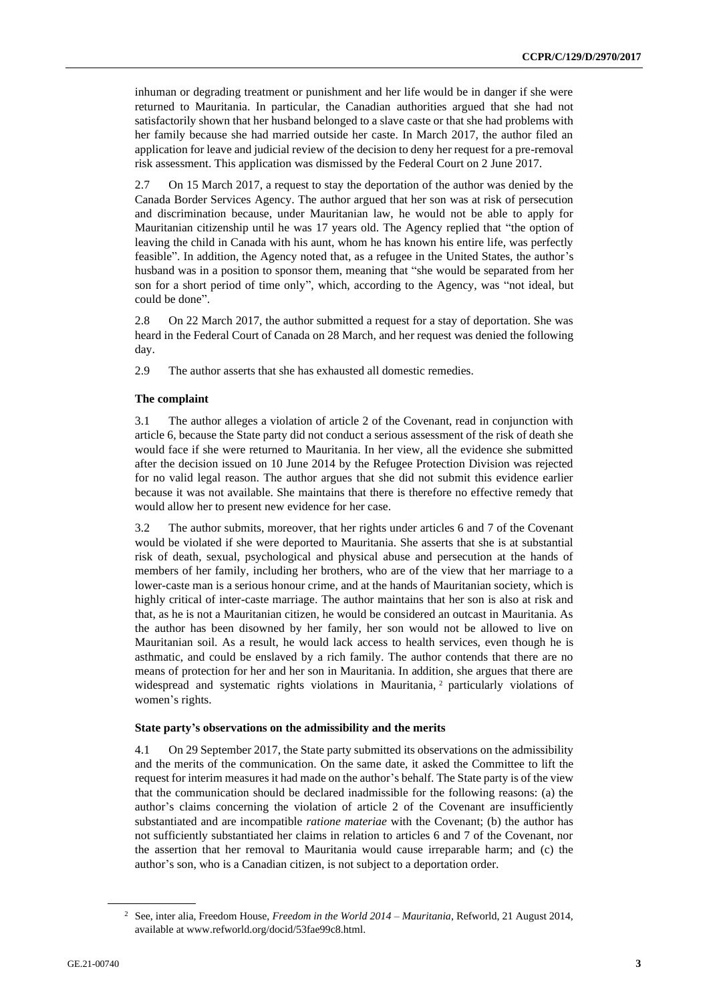inhuman or degrading treatment or punishment and her life would be in danger if she were returned to Mauritania. In particular, the Canadian authorities argued that she had not satisfactorily shown that her husband belonged to a slave caste or that she had problems with her family because she had married outside her caste. In March 2017, the author filed an application for leave and judicial review of the decision to deny her request for a pre-removal risk assessment. This application was dismissed by the Federal Court on 2 June 2017.

2.7 On 15 March 2017, a request to stay the deportation of the author was denied by the Canada Border Services Agency. The author argued that her son was at risk of persecution and discrimination because, under Mauritanian law, he would not be able to apply for Mauritanian citizenship until he was 17 years old. The Agency replied that "the option of leaving the child in Canada with his aunt, whom he has known his entire life, was perfectly feasible". In addition, the Agency noted that, as a refugee in the United States, the author's husband was in a position to sponsor them, meaning that "she would be separated from her son for a short period of time only", which, according to the Agency, was "not ideal, but could be done".

2.8 On 22 March 2017, the author submitted a request for a stay of deportation. She was heard in the Federal Court of Canada on 28 March, and her request was denied the following day.

2.9 The author asserts that she has exhausted all domestic remedies.

## **The complaint**

3.1 The author alleges a violation of article 2 of the Covenant, read in conjunction with article 6, because the State party did not conduct a serious assessment of the risk of death she would face if she were returned to Mauritania. In her view, all the evidence she submitted after the decision issued on 10 June 2014 by the Refugee Protection Division was rejected for no valid legal reason. The author argues that she did not submit this evidence earlier because it was not available. She maintains that there is therefore no effective remedy that would allow her to present new evidence for her case.

3.2 The author submits, moreover, that her rights under articles 6 and 7 of the Covenant would be violated if she were deported to Mauritania. She asserts that she is at substantial risk of death, sexual, psychological and physical abuse and persecution at the hands of members of her family, including her brothers, who are of the view that her marriage to a lower-caste man is a serious honour crime, and at the hands of Mauritanian society, which is highly critical of inter-caste marriage. The author maintains that her son is also at risk and that, as he is not a Mauritanian citizen, he would be considered an outcast in Mauritania. As the author has been disowned by her family, her son would not be allowed to live on Mauritanian soil. As a result, he would lack access to health services, even though he is asthmatic, and could be enslaved by a rich family. The author contends that there are no means of protection for her and her son in Mauritania. In addition, she argues that there are widespread and systematic rights violations in Mauritania, <sup>2</sup> particularly violations of women's rights.

#### **State party's observations on the admissibility and the merits**

4.1 On 29 September 2017, the State party submitted its observations on the admissibility and the merits of the communication. On the same date, it asked the Committee to lift the request for interim measures it had made on the author's behalf. The State party is of the view that the communication should be declared inadmissible for the following reasons: (a) the author's claims concerning the violation of article 2 of the Covenant are insufficiently substantiated and are incompatible *ratione materiae* with the Covenant; (b) the author has not sufficiently substantiated her claims in relation to articles 6 and 7 of the Covenant, nor the assertion that her removal to Mauritania would cause irreparable harm; and (c) the author's son, who is a Canadian citizen, is not subject to a deportation order.

<sup>2</sup> See, inter alia, Freedom House, *Freedom in the World 2014 – Mauritania*, Refworld, 21 August 2014, available at www.refworld.org/docid/53fae99c8.html.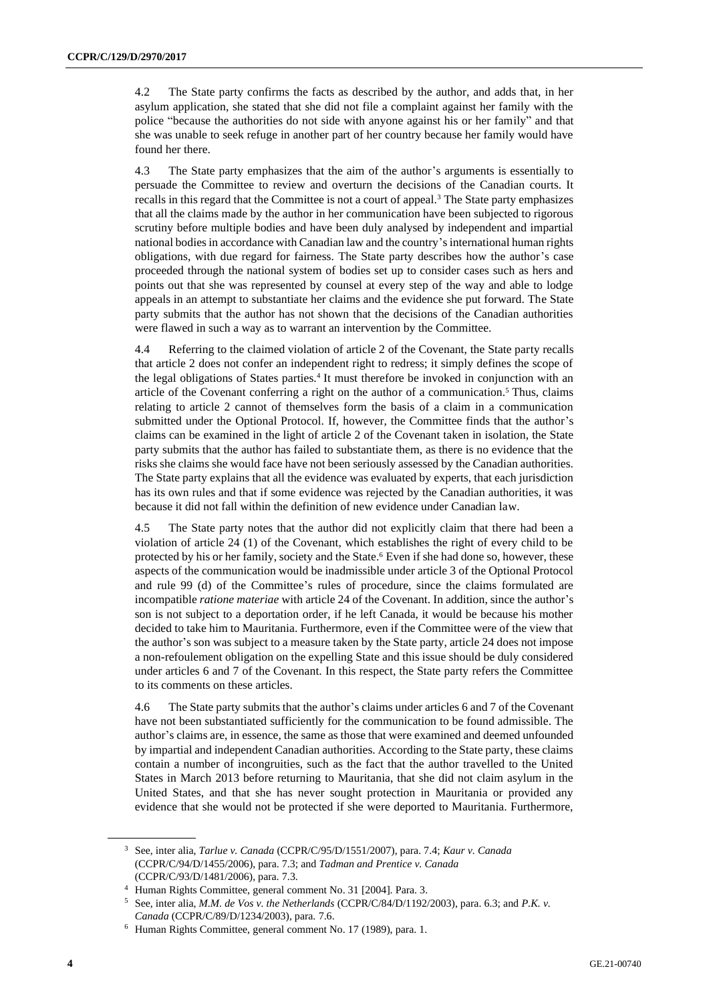4.2 The State party confirms the facts as described by the author, and adds that, in her asylum application, she stated that she did not file a complaint against her family with the police "because the authorities do not side with anyone against his or her family" and that she was unable to seek refuge in another part of her country because her family would have found her there.

4.3 The State party emphasizes that the aim of the author's arguments is essentially to persuade the Committee to review and overturn the decisions of the Canadian courts. It recalls in this regard that the Committee is not a court of appeal.<sup>3</sup> The State party emphasizes that all the claims made by the author in her communication have been subjected to rigorous scrutiny before multiple bodies and have been duly analysed by independent and impartial national bodies in accordance with Canadian law and the country's international human rights obligations, with due regard for fairness. The State party describes how the author's case proceeded through the national system of bodies set up to consider cases such as hers and points out that she was represented by counsel at every step of the way and able to lodge appeals in an attempt to substantiate her claims and the evidence she put forward. The State party submits that the author has not shown that the decisions of the Canadian authorities were flawed in such a way as to warrant an intervention by the Committee.

4.4 Referring to the claimed violation of article 2 of the Covenant, the State party recalls that article 2 does not confer an independent right to redress; it simply defines the scope of the legal obligations of States parties.<sup>4</sup> It must therefore be invoked in conjunction with an article of the Covenant conferring a right on the author of a communication.<sup>5</sup> Thus, claims relating to article 2 cannot of themselves form the basis of a claim in a communication submitted under the Optional Protocol. If, however, the Committee finds that the author's claims can be examined in the light of article 2 of the Covenant taken in isolation, the State party submits that the author has failed to substantiate them, as there is no evidence that the risks she claims she would face have not been seriously assessed by the Canadian authorities. The State party explains that all the evidence was evaluated by experts, that each jurisdiction has its own rules and that if some evidence was rejected by the Canadian authorities, it was because it did not fall within the definition of new evidence under Canadian law.

4.5 The State party notes that the author did not explicitly claim that there had been a violation of article 24 (1) of the Covenant, which establishes the right of every child to be protected by his or her family, society and the State.<sup>6</sup> Even if she had done so, however, these aspects of the communication would be inadmissible under article 3 of the Optional Protocol and rule 99 (d) of the Committee's rules of procedure, since the claims formulated are incompatible *ratione materiae* with article 24 of the Covenant. In addition, since the author's son is not subject to a deportation order, if he left Canada, it would be because his mother decided to take him to Mauritania. Furthermore, even if the Committee were of the view that the author's son was subject to a measure taken by the State party, article 24 does not impose a non-refoulement obligation on the expelling State and this issue should be duly considered under articles 6 and 7 of the Covenant. In this respect, the State party refers the Committee to its comments on these articles.

4.6 The State party submits that the author's claims under articles 6 and 7 of the Covenant have not been substantiated sufficiently for the communication to be found admissible. The author's claims are, in essence, the same as those that were examined and deemed unfounded by impartial and independent Canadian authorities. According to the State party, these claims contain a number of incongruities, such as the fact that the author travelled to the United States in March 2013 before returning to Mauritania, that she did not claim asylum in the United States, and that she has never sought protection in Mauritania or provided any evidence that she would not be protected if she were deported to Mauritania. Furthermore,

<sup>3</sup> See, inter alia, *Tarlue v. Canada* (CCPR/C/95/D/1551/2007), para. 7.4; *Kaur v. Canada* (CCPR/C/94/D/1455/2006), para. 7.3; and *Tadman and Prentice v. Canada* (CCPR/C/93/D/1481/2006), para. 7.3.

<sup>4</sup> Human Rights Committee, general comment No. 31 [2004]. Para. 3.

<sup>5</sup> See, inter alia, *M.M. de Vos v. the Netherlands* (CCPR/C/84/D/1192/2003), para. 6.3; and *P.K. v. Canada* (CCPR/C/89/D/1234/2003), para. 7.6.

<sup>6</sup> Human Rights Committee, general comment No. 17 (1989), para. 1.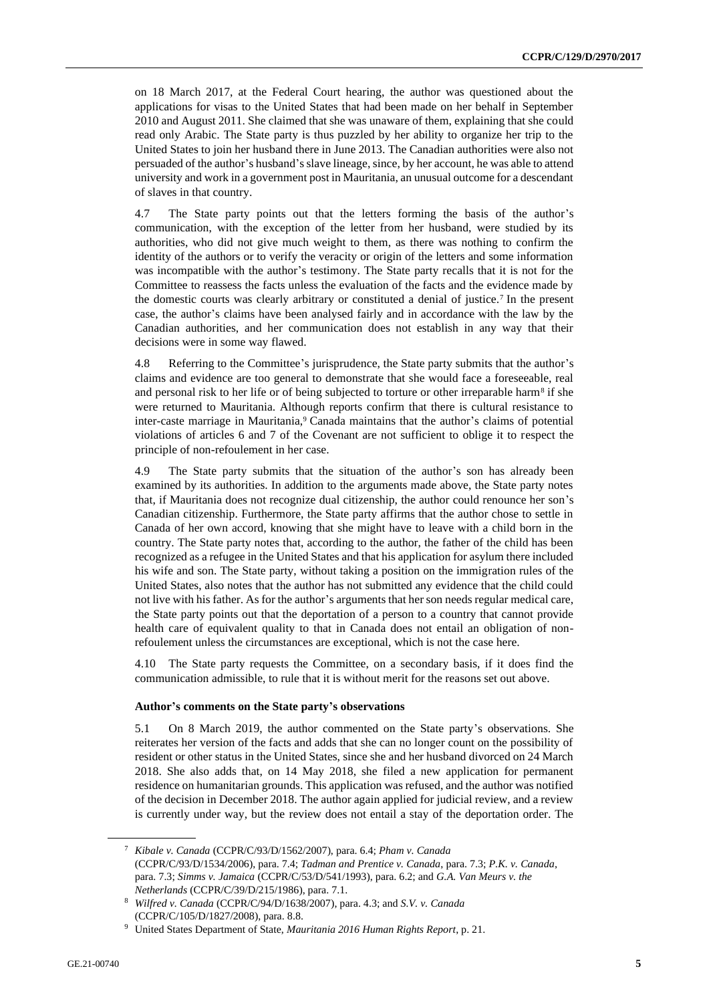on 18 March 2017, at the Federal Court hearing, the author was questioned about the applications for visas to the United States that had been made on her behalf in September 2010 and August 2011. She claimed that she was unaware of them, explaining that she could read only Arabic. The State party is thus puzzled by her ability to organize her trip to the United States to join her husband there in June 2013. The Canadian authorities were also not persuaded of the author's husband's slave lineage, since, by her account, he was able to attend university and work in a government post in Mauritania, an unusual outcome for a descendant of slaves in that country.

4.7 The State party points out that the letters forming the basis of the author's communication, with the exception of the letter from her husband, were studied by its authorities, who did not give much weight to them, as there was nothing to confirm the identity of the authors or to verify the veracity or origin of the letters and some information was incompatible with the author's testimony. The State party recalls that it is not for the Committee to reassess the facts unless the evaluation of the facts and the evidence made by the domestic courts was clearly arbitrary or constituted a denial of justice.<sup>7</sup> In the present case, the author's claims have been analysed fairly and in accordance with the law by the Canadian authorities, and her communication does not establish in any way that their decisions were in some way flawed.

4.8 Referring to the Committee's jurisprudence, the State party submits that the author's claims and evidence are too general to demonstrate that she would face a foreseeable, real and personal risk to her life or of being subjected to torture or other irreparable harm<sup>8</sup> if she were returned to Mauritania. Although reports confirm that there is cultural resistance to inter-caste marriage in Mauritania,<sup>9</sup> Canada maintains that the author's claims of potential violations of articles 6 and 7 of the Covenant are not sufficient to oblige it to respect the principle of non-refoulement in her case.

4.9 The State party submits that the situation of the author's son has already been examined by its authorities. In addition to the arguments made above, the State party notes that, if Mauritania does not recognize dual citizenship, the author could renounce her son's Canadian citizenship. Furthermore, the State party affirms that the author chose to settle in Canada of her own accord, knowing that she might have to leave with a child born in the country. The State party notes that, according to the author, the father of the child has been recognized as a refugee in the United States and that his application for asylum there included his wife and son. The State party, without taking a position on the immigration rules of the United States, also notes that the author has not submitted any evidence that the child could not live with his father. As for the author's arguments that her son needs regular medical care, the State party points out that the deportation of a person to a country that cannot provide health care of equivalent quality to that in Canada does not entail an obligation of nonrefoulement unless the circumstances are exceptional, which is not the case here.

4.10 The State party requests the Committee, on a secondary basis, if it does find the communication admissible, to rule that it is without merit for the reasons set out above.

### **Author's comments on the State party's observations**

5.1 On 8 March 2019, the author commented on the State party's observations. She reiterates her version of the facts and adds that she can no longer count on the possibility of resident or other status in the United States, since she and her husband divorced on 24 March 2018. She also adds that, on 14 May 2018, she filed a new application for permanent residence on humanitarian grounds. This application was refused, and the author was notified of the decision in December 2018. The author again applied for judicial review, and a review is currently under way, but the review does not entail a stay of the deportation order. The

<sup>7</sup> *Kibale v. Canada* (CCPR/C/93/D/1562/2007), para. 6.4; *Pham v. Canada* (CCPR/C/93/D/1534/2006), para. 7.4; *Tadman and Prentice v. Canada*, para. 7.3; *P.K. v. Canada*, para. 7.3; *Simms v. Jamaica* (CCPR/C/53/D/541/1993), para. 6.2; and *G.A. Van Meurs v. the Netherlands* (CCPR/C/39/D/215/1986), para. 7.1.

<sup>8</sup> *Wilfred v. Canada* (CCPR/C/94/D/1638/2007), para. 4.3; and *S.V. v. Canada* (CCPR/C/105/D/1827/2008), para. 8.8.

<sup>9</sup> United States Department of State, *Mauritania 2016 Human Rights Report*, p. 21.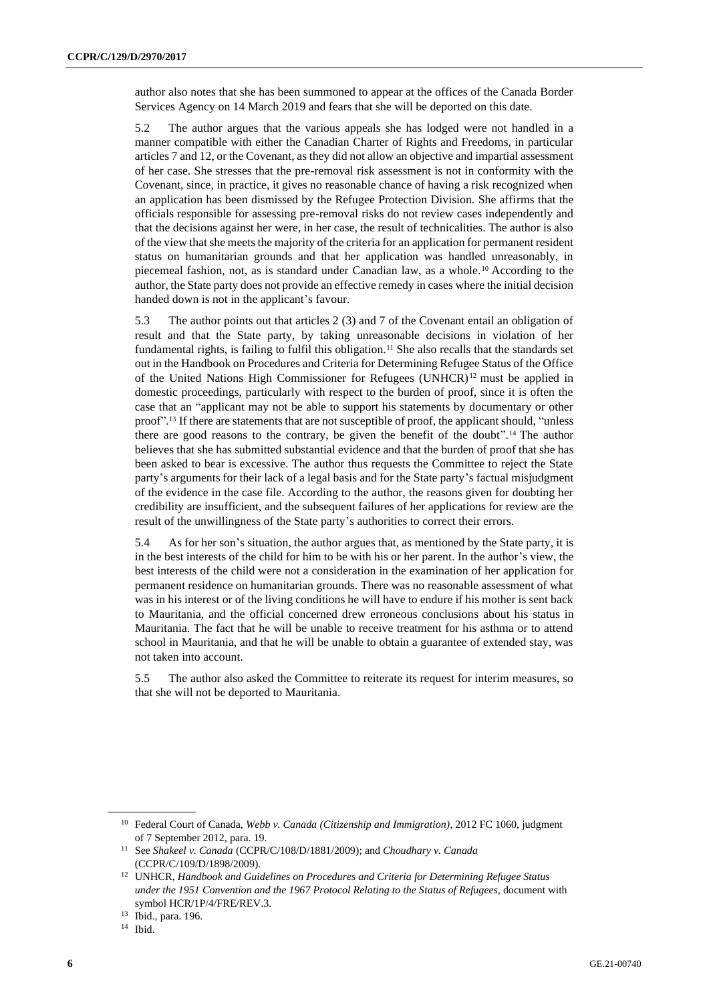author also notes that she has been summoned to appear at the offices of the Canada Border Services Agency on 14 March 2019 and fears that she will be deported on this date.

5.2 The author argues that the various appeals she has lodged were not handled in a manner compatible with either the Canadian Charter of Rights and Freedoms, in particular articles 7 and 12, or the Covenant, as they did not allow an objective and impartial assessment of her case. She stresses that the pre-removal risk assessment is not in conformity with the Covenant, since, in practice, it gives no reasonable chance of having a risk recognized when an application has been dismissed by the Refugee Protection Division. She affirms that the officials responsible for assessing pre-removal risks do not review cases independently and that the decisions against her were, in her case, the result of technicalities. The author is also of the view that she meets the majority of the criteria for an application for permanent resident status on humanitarian grounds and that her application was handled unreasonably, in piecemeal fashion, not, as is standard under Canadian law, as a whole.<sup>10</sup> According to the author, the State party does not provide an effective remedy in cases where the initial decision handed down is not in the applicant's favour.

5.3 The author points out that articles 2 (3) and 7 of the Covenant entail an obligation of result and that the State party, by taking unreasonable decisions in violation of her fundamental rights, is failing to fulfil this obligation.<sup>11</sup> She also recalls that the standards set out in the Handbook on Procedures and Criteria for Determining Refugee Status of the Office of the United Nations High Commissioner for Refugees (UNHCR) <sup>12</sup> must be applied in domestic proceedings, particularly with respect to the burden of proof, since it is often the case that an "applicant may not be able to support his statements by documentary or other proof".<sup>13</sup> If there are statements that are not susceptible of proof, the applicant should, "unless" there are good reasons to the contrary, be given the benefit of the doubt".<sup>14</sup> The author believes that she has submitted substantial evidence and that the burden of proof that she has been asked to bear is excessive. The author thus requests the Committee to reject the State party's arguments for their lack of a legal basis and for the State party's factual misjudgment of the evidence in the case file. According to the author, the reasons given for doubting her credibility are insufficient, and the subsequent failures of her applications for review are the result of the unwillingness of the State party's authorities to correct their errors.

5.4 As for her son's situation, the author argues that, as mentioned by the State party, it is in the best interests of the child for him to be with his or her parent. In the author's view, the best interests of the child were not a consideration in the examination of her application for permanent residence on humanitarian grounds. There was no reasonable assessment of what was in his interest or of the living conditions he will have to endure if his mother is sent back to Mauritania, and the official concerned drew erroneous conclusions about his status in Mauritania. The fact that he will be unable to receive treatment for his asthma or to attend school in Mauritania, and that he will be unable to obtain a guarantee of extended stay, was not taken into account.

5.5 The author also asked the Committee to reiterate its request for interim measures, so that she will not be deported to Mauritania.

<sup>14</sup> Ibid.

<sup>10</sup> Federal Court of Canada, *Webb v. Canada (Citizenship and Immigration)*, 2012 FC 1060, judgment of 7 September 2012, para. 19.

<sup>11</sup> See *Shakeel v. Canada* (CCPR/C/108/D/1881/2009); and *Choudhary v. Canada* (CCPR/C/109/D/1898/2009).

<sup>12</sup> UNHCR, *Handbook and Guidelines on Procedures and Criteria for Determining Refugee Status under the 1951 Convention and the 1967 Protocol Relating to the Status of Refugees*, document with symbol HCR/1P/4/FRE/REV.3.

<sup>13</sup> Ibid., para. 196.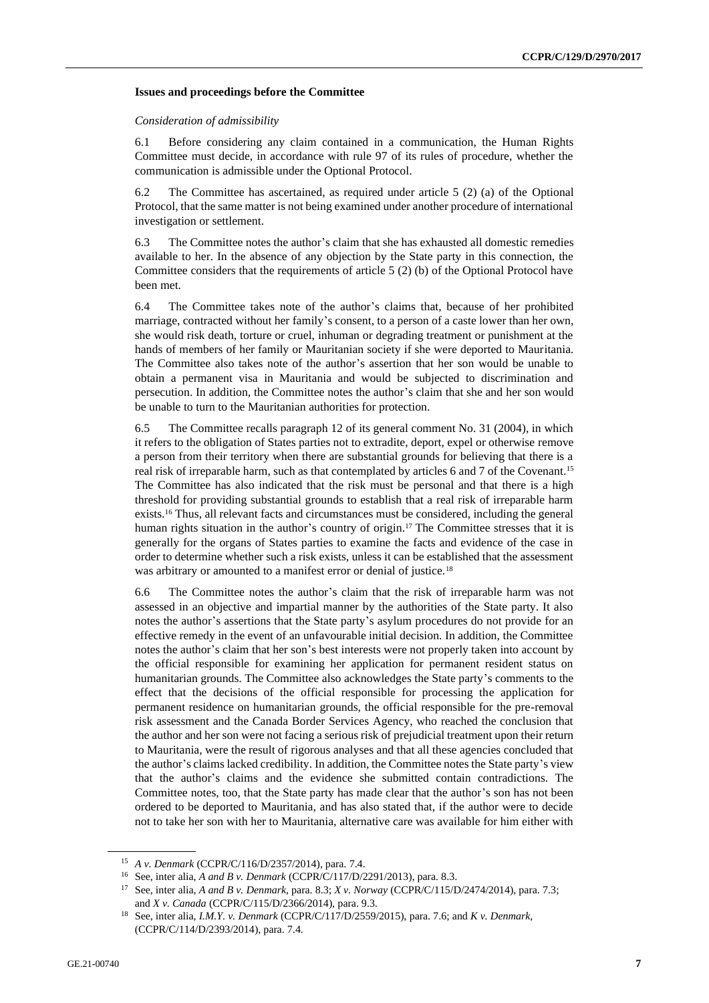#### **Issues and proceedings before the Committee**

#### *Consideration of admissibility*

6.1 Before considering any claim contained in a communication, the Human Rights Committee must decide, in accordance with rule 97 of its rules of procedure, whether the communication is admissible under the Optional Protocol.

6.2 The Committee has ascertained, as required under article 5 (2) (a) of the Optional Protocol, that the same matter is not being examined under another procedure of international investigation or settlement.

6.3 The Committee notes the author's claim that she has exhausted all domestic remedies available to her. In the absence of any objection by the State party in this connection, the Committee considers that the requirements of article  $5(2)$  (b) of the Optional Protocol have been met.

6.4 The Committee takes note of the author's claims that, because of her prohibited marriage, contracted without her family's consent, to a person of a caste lower than her own, she would risk death, torture or cruel, inhuman or degrading treatment or punishment at the hands of members of her family or Mauritanian society if she were deported to Mauritania. The Committee also takes note of the author's assertion that her son would be unable to obtain a permanent visa in Mauritania and would be subjected to discrimination and persecution. In addition, the Committee notes the author's claim that she and her son would be unable to turn to the Mauritanian authorities for protection.

6.5 The Committee recalls paragraph 12 of its general comment No. 31 (2004), in which it refers to the obligation of States parties not to extradite, deport, expel or otherwise remove a person from their territory when there are substantial grounds for believing that there is a real risk of irreparable harm, such as that contemplated by articles 6 and 7 of the Covenant.<sup>15</sup> The Committee has also indicated that the risk must be personal and that there is a high threshold for providing substantial grounds to establish that a real risk of irreparable harm exists.<sup>16</sup> Thus, all relevant facts and circumstances must be considered, including the general human rights situation in the author's country of origin.<sup>17</sup> The Committee stresses that it is generally for the organs of States parties to examine the facts and evidence of the case in order to determine whether such a risk exists, unless it can be established that the assessment was arbitrary or amounted to a manifest error or denial of justice.<sup>18</sup>

6.6 The Committee notes the author's claim that the risk of irreparable harm was not assessed in an objective and impartial manner by the authorities of the State party. It also notes the author's assertions that the State party's asylum procedures do not provide for an effective remedy in the event of an unfavourable initial decision. In addition, the Committee notes the author's claim that her son's best interests were not properly taken into account by the official responsible for examining her application for permanent resident status on humanitarian grounds. The Committee also acknowledges the State party's comments to the effect that the decisions of the official responsible for processing the application for permanent residence on humanitarian grounds, the official responsible for the pre-removal risk assessment and the Canada Border Services Agency, who reached the conclusion that the author and her son were not facing a serious risk of prejudicial treatment upon their return to Mauritania, were the result of rigorous analyses and that all these agencies concluded that the author's claims lacked credibility. In addition, the Committee notes the State party's view that the author's claims and the evidence she submitted contain contradictions. The Committee notes, too, that the State party has made clear that the author's son has not been ordered to be deported to Mauritania, and has also stated that, if the author were to decide not to take her son with her to Mauritania, alternative care was available for him either with

<sup>15</sup> *A v. Denmark* (CCPR/C/116/D/2357/2014), para. 7.4.

<sup>16</sup> See, inter alia, *A and B v. Denmark* (CCPR/C/117/D/2291/2013), para. 8.3.

<sup>17</sup> See, inter alia, *A and B v. Denmark*, para. 8.3; *X v. Norway* (CCPR/C/115/D/2474/2014), para. 7.3; and *X v. Canada* (CCPR/C/115/D/2366/2014), para. 9.3.

<sup>18</sup> See, inter alia, *I.M.Y. v. Denmark* (CCPR/C/117/D/2559/2015), para. 7.6; and *K v. Denmark*, (CCPR/C/114/D/2393/2014), para. 7.4.